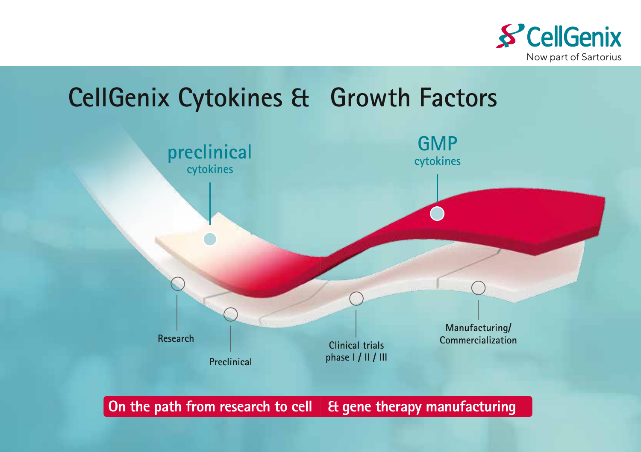

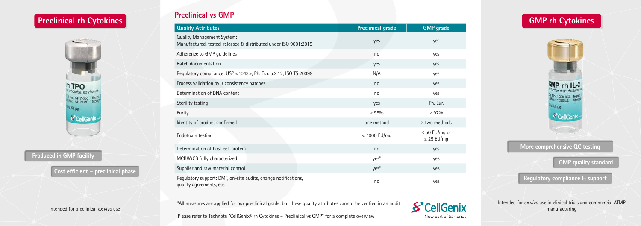Please refer to Technote "CellGenix® rh Cytokines – Preclinical vs GMP" for a complete overview



## **Preclinical vs GMP**

Intended for preclinical *ex vivo* use

Intended for *ex vivo* use in clinical trials and commercial ATMP manufacturing

### **Produced in GMP facility**

| <b>Quality Attributes</b>                                                                             | <b>Preclinical grade</b> | <b>GMP</b> grade                      |
|-------------------------------------------------------------------------------------------------------|--------------------------|---------------------------------------|
| <b>Quality Management System:</b><br>Manufactured, tested, released & distributed under ISO 9001:2015 | yes                      | yes                                   |
| Adherence to GMP guidelines                                                                           | no                       | yes                                   |
| <b>Batch documentation</b>                                                                            | yes                      | yes                                   |
| Regulatory compliance: USP <1043>, Ph. Eur. 5.2.12, ISO TS 20399                                      | N/A                      | yes                                   |
| Process validation by 3 consistency batches                                                           | no                       | yes                                   |
| Determination of DNA content                                                                          | no                       | yes                                   |
| Sterility testing                                                                                     | yes                      | Ph. Eur.                              |
| Purity                                                                                                | $\geq 95\%$              | $\geq 97\%$                           |
| Identity of product confirmed                                                                         | one method               | $\ge$ two methods                     |
| Endotoxin testing                                                                                     | $<$ 1000 EU/mq           | $\leq$ 50 EU/mg or<br>$\leq$ 25 EU/mg |
| Determination of host cell protein                                                                    | no                       | yes                                   |
| MCB/WCB fully characterized                                                                           | yes*                     | yes                                   |
| Supplier and raw material control                                                                     | yes*                     | yes                                   |
| Regulatory support: DMF, on-site audits, change notifications,<br>quality agreements, etc.            | no                       | yes                                   |

### **More comprehensive QC testing**

**Cost efficient – preclinical phase**

**GMP quality standard**

**Regulatory compliance & support** 

# **Preclinical rh Cytokines GMP rh Cytokines**



\*All measures are applied for our preclinical grade, but these quality attributes cannot be verified in an audit